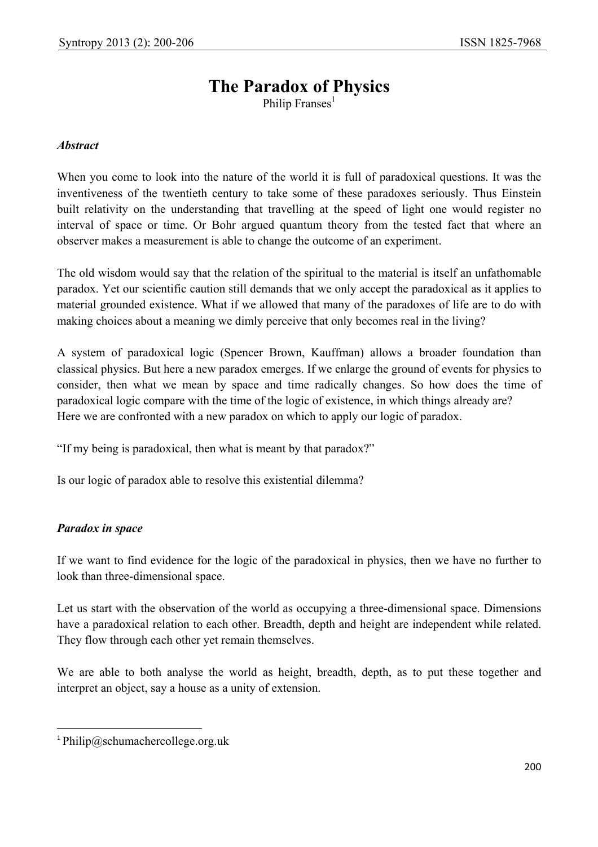# **The Paradox of Physics**

Philip Franses<sup>1</sup>

### *Abstract*

When you come to look into the nature of the world it is full of paradoxical questions. It was the inventiveness of the twentieth century to take some of these paradoxes seriously. Thus Einstein built relativity on the understanding that travelling at the speed of light one would register no interval of space or time. Or Bohr argued quantum theory from the tested fact that where an observer makes a measurement is able to change the outcome of an experiment.

The old wisdom would say that the relation of the spiritual to the material is itself an unfathomable paradox. Yet our scientific caution still demands that we only accept the paradoxical as it applies to material grounded existence. What if we allowed that many of the paradoxes of life are to do with making choices about a meaning we dimly perceive that only becomes real in the living?

A system of paradoxical logic (Spencer Brown, Kauffman) allows a broader foundation than classical physics. But here a new paradox emerges. If we enlarge the ground of events for physics to consider, then what we mean by space and time radically changes. So how does the time of paradoxical logic compare with the time of the logic of existence, in which things already are? Here we are confronted with a new paradox on which to apply our logic of paradox.

"If my being is paradoxical, then what is meant by that paradox?"

Is our logic of paradox able to resolve this existential dilemma?

### *Paradox in space*

 $\overline{\phantom{a}}$ 

If we want to find evidence for the logic of the paradoxical in physics, then we have no further to look than three-dimensional space.

Let us start with the observation of the world as occupying a three-dimensional space. Dimensions have a paradoxical relation to each other. Breadth, depth and height are independent while related. They flow through each other yet remain themselves.

We are able to both analyse the world as height, breadth, depth, as to put these together and interpret an object, say a house as a unity of extension.

<sup>&</sup>lt;sup>1</sup> Philip@schumachercollege.org.uk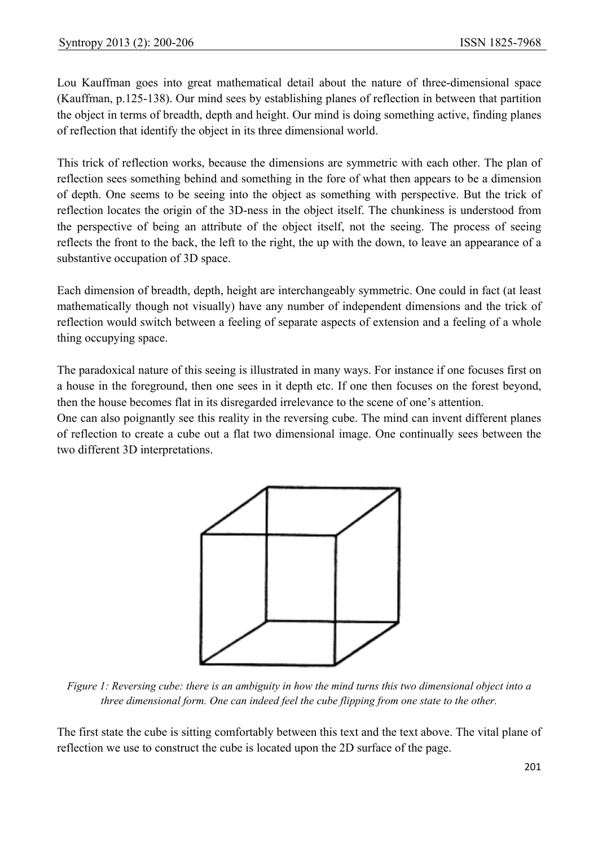Lou Kauffman goes into great mathematical detail about the nature of three-dimensional space (Kauffman, p.125-138). Our mind sees by establishing planes of reflection in between that partition the object in terms of breadth, depth and height. Our mind is doing something active, finding planes of reflection that identify the object in its three dimensional world.

This trick of reflection works, because the dimensions are symmetric with each other. The plan of reflection sees something behind and something in the fore of what then appears to be a dimension of depth. One seems to be seeing into the object as something with perspective. But the trick of reflection locates the origin of the 3D-ness in the object itself. The chunkiness is understood from the perspective of being an attribute of the object itself, not the seeing. The process of seeing reflects the front to the back, the left to the right, the up with the down, to leave an appearance of a substantive occupation of 3D space.

Each dimension of breadth, depth, height are interchangeably symmetric. One could in fact (at least mathematically though not visually) have any number of independent dimensions and the trick of reflection would switch between a feeling of separate aspects of extension and a feeling of a whole thing occupying space.

The paradoxical nature of this seeing is illustrated in many ways. For instance if one focuses first on a house in the foreground, then one sees in it depth etc. If one then focuses on the forest beyond, then the house becomes flat in its disregarded irrelevance to the scene of one's attention.

One can also poignantly see this reality in the reversing cube. The mind can invent different planes of reflection to create a cube out a flat two dimensional image. One continually sees between the two different 3D interpretations.



*Figure 1: Reversing cube: there is an ambiguity in how the mind turns this two dimensional object into a three dimensional form. One can indeed feel the cube flipping from one state to the other.* 

The first state the cube is sitting comfortably between this text and the text above. The vital plane of reflection we use to construct the cube is located upon the 2D surface of the page.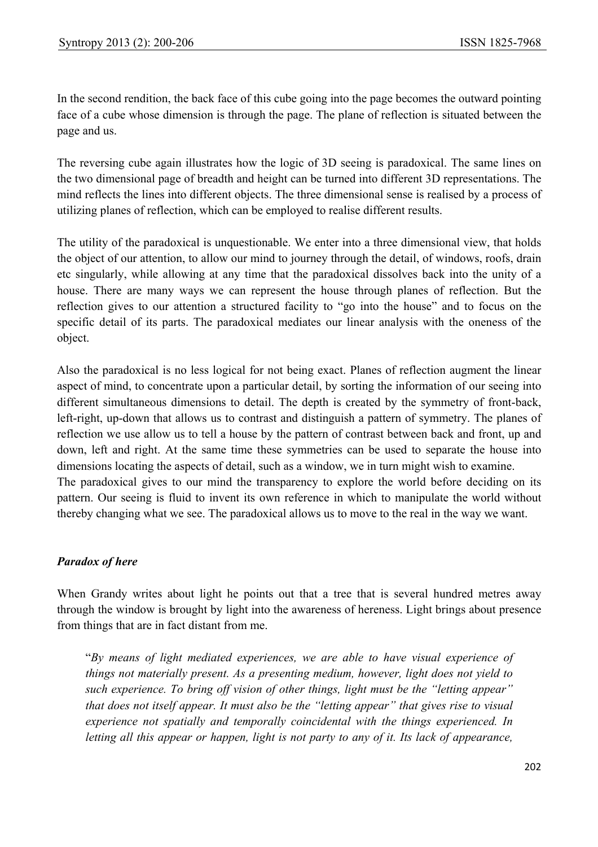In the second rendition, the back face of this cube going into the page becomes the outward pointing face of a cube whose dimension is through the page. The plane of reflection is situated between the page and us.

The reversing cube again illustrates how the logic of 3D seeing is paradoxical. The same lines on the two dimensional page of breadth and height can be turned into different 3D representations. The mind reflects the lines into different objects. The three dimensional sense is realised by a process of utilizing planes of reflection, which can be employed to realise different results.

The utility of the paradoxical is unquestionable. We enter into a three dimensional view, that holds the object of our attention, to allow our mind to journey through the detail, of windows, roofs, drain etc singularly, while allowing at any time that the paradoxical dissolves back into the unity of a house. There are many ways we can represent the house through planes of reflection. But the reflection gives to our attention a structured facility to "go into the house" and to focus on the specific detail of its parts. The paradoxical mediates our linear analysis with the oneness of the object.

Also the paradoxical is no less logical for not being exact. Planes of reflection augment the linear aspect of mind, to concentrate upon a particular detail, by sorting the information of our seeing into different simultaneous dimensions to detail. The depth is created by the symmetry of front-back, left-right, up-down that allows us to contrast and distinguish a pattern of symmetry. The planes of reflection we use allow us to tell a house by the pattern of contrast between back and front, up and down, left and right. At the same time these symmetries can be used to separate the house into dimensions locating the aspects of detail, such as a window, we in turn might wish to examine. The paradoxical gives to our mind the transparency to explore the world before deciding on its pattern. Our seeing is fluid to invent its own reference in which to manipulate the world without thereby changing what we see. The paradoxical allows us to move to the real in the way we want.

## *Paradox of here*

When Grandy writes about light he points out that a tree that is several hundred metres away through the window is brought by light into the awareness of hereness. Light brings about presence from things that are in fact distant from me.

"*By means of light mediated experiences, we are able to have visual experience of things not materially present. As a presenting medium, however, light does not yield to such experience. To bring off vision of other things, light must be the "letting appear" that does not itself appear. It must also be the "letting appear" that gives rise to visual experience not spatially and temporally coincidental with the things experienced. In letting all this appear or happen, light is not party to any of it. Its lack of appearance,*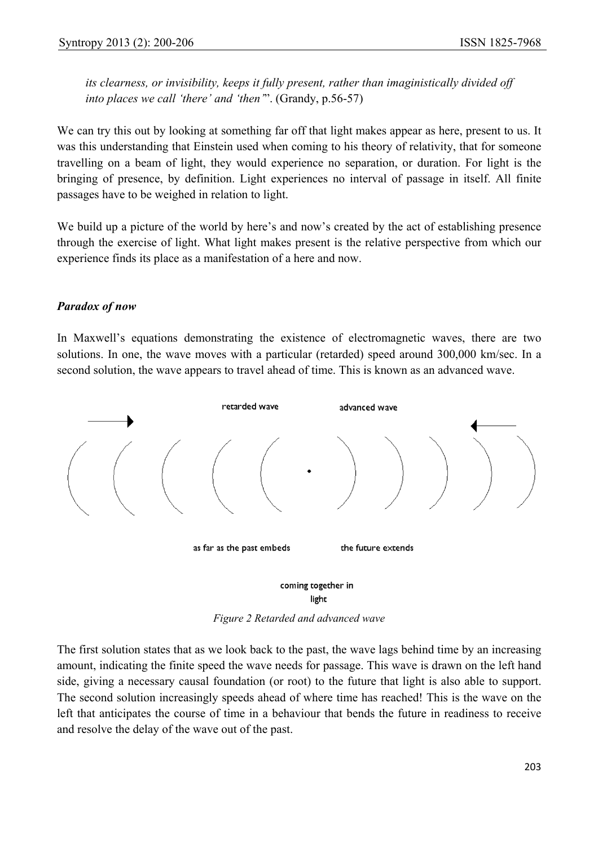*its clearness, or invisibility, keeps it fully present, rather than imaginistically divided off into places we call 'there' and 'then'*". (Grandy, p.56-57)

We can try this out by looking at something far off that light makes appear as here, present to us. It was this understanding that Einstein used when coming to his theory of relativity, that for someone travelling on a beam of light, they would experience no separation, or duration. For light is the bringing of presence, by definition. Light experiences no interval of passage in itself. All finite passages have to be weighed in relation to light.

We build up a picture of the world by here's and now's created by the act of establishing presence through the exercise of light. What light makes present is the relative perspective from which our experience finds its place as a manifestation of a here and now.

### *Paradox of now*

In Maxwell's equations demonstrating the existence of electromagnetic waves, there are two solutions. In one, the wave moves with a particular (retarded) speed around 300,000 km/sec. In a second solution, the wave appears to travel ahead of time. This is known as an advanced wave.



*Figure 2 Retarded and advanced wave* 

The first solution states that as we look back to the past, the wave lags behind time by an increasing amount, indicating the finite speed the wave needs for passage. This wave is drawn on the left hand side, giving a necessary causal foundation (or root) to the future that light is also able to support. The second solution increasingly speeds ahead of where time has reached! This is the wave on the left that anticipates the course of time in a behaviour that bends the future in readiness to receive and resolve the delay of the wave out of the past.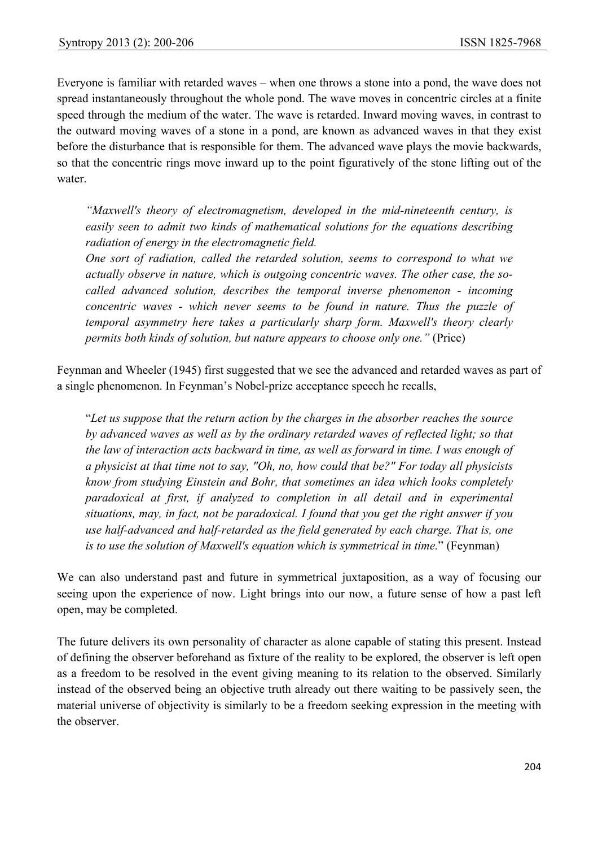Everyone is familiar with retarded waves – when one throws a stone into a pond, the wave does not spread instantaneously throughout the whole pond. The wave moves in concentric circles at a finite speed through the medium of the water. The wave is retarded. Inward moving waves, in contrast to the outward moving waves of a stone in a pond, are known as advanced waves in that they exist before the disturbance that is responsible for them. The advanced wave plays the movie backwards, so that the concentric rings move inward up to the point figuratively of the stone lifting out of the water.

*"Maxwell's theory of electromagnetism, developed in the mid-nineteenth century, is easily seen to admit two kinds of mathematical solutions for the equations describing radiation of energy in the electromagnetic field.* 

*One sort of radiation, called the retarded solution, seems to correspond to what we actually observe in nature, which is outgoing concentric waves. The other case, the socalled advanced solution, describes the temporal inverse phenomenon - incoming concentric waves - which never seems to be found in nature. Thus the puzzle of temporal asymmetry here takes a particularly sharp form. Maxwell's theory clearly permits both kinds of solution, but nature appears to choose only one."* (Price)

Feynman and Wheeler (1945) first suggested that we see the advanced and retarded waves as part of a single phenomenon. In Feynman's Nobel-prize acceptance speech he recalls,

"*Let us suppose that the return action by the charges in the absorber reaches the source by advanced waves as well as by the ordinary retarded waves of reflected light; so that the law of interaction acts backward in time, as well as forward in time. I was enough of a physicist at that time not to say, "Oh, no, how could that be?" For today all physicists know from studying Einstein and Bohr, that sometimes an idea which looks completely paradoxical at first, if analyzed to completion in all detail and in experimental situations, may, in fact, not be paradoxical. I found that you get the right answer if you use half-advanced and half-retarded as the field generated by each charge. That is, one is to use the solution of Maxwell's equation which is symmetrical in time.*" (Feynman)

We can also understand past and future in symmetrical juxtaposition, as a way of focusing our seeing upon the experience of now. Light brings into our now, a future sense of how a past left open, may be completed.

The future delivers its own personality of character as alone capable of stating this present. Instead of defining the observer beforehand as fixture of the reality to be explored, the observer is left open as a freedom to be resolved in the event giving meaning to its relation to the observed. Similarly instead of the observed being an objective truth already out there waiting to be passively seen, the material universe of objectivity is similarly to be a freedom seeking expression in the meeting with the observer.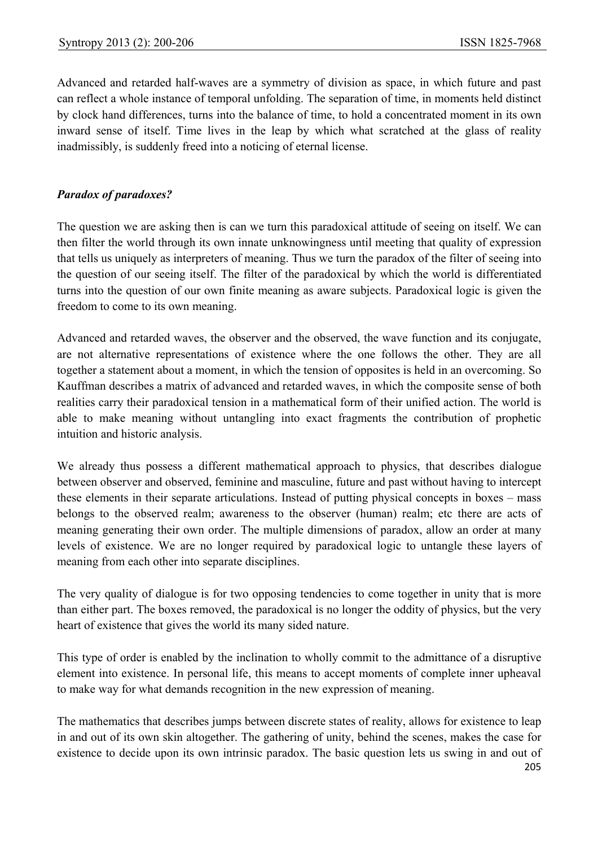Advanced and retarded half-waves are a symmetry of division as space, in which future and past can reflect a whole instance of temporal unfolding. The separation of time, in moments held distinct by clock hand differences, turns into the balance of time, to hold a concentrated moment in its own inward sense of itself. Time lives in the leap by which what scratched at the glass of reality inadmissibly, is suddenly freed into a noticing of eternal license.

## *Paradox of paradoxes?*

The question we are asking then is can we turn this paradoxical attitude of seeing on itself. We can then filter the world through its own innate unknowingness until meeting that quality of expression that tells us uniquely as interpreters of meaning. Thus we turn the paradox of the filter of seeing into the question of our seeing itself. The filter of the paradoxical by which the world is differentiated turns into the question of our own finite meaning as aware subjects. Paradoxical logic is given the freedom to come to its own meaning.

Advanced and retarded waves, the observer and the observed, the wave function and its conjugate, are not alternative representations of existence where the one follows the other. They are all together a statement about a moment, in which the tension of opposites is held in an overcoming. So Kauffman describes a matrix of advanced and retarded waves, in which the composite sense of both realities carry their paradoxical tension in a mathematical form of their unified action. The world is able to make meaning without untangling into exact fragments the contribution of prophetic intuition and historic analysis.

We already thus possess a different mathematical approach to physics, that describes dialogue between observer and observed, feminine and masculine, future and past without having to intercept these elements in their separate articulations. Instead of putting physical concepts in boxes – mass belongs to the observed realm; awareness to the observer (human) realm; etc there are acts of meaning generating their own order. The multiple dimensions of paradox, allow an order at many levels of existence. We are no longer required by paradoxical logic to untangle these layers of meaning from each other into separate disciplines.

The very quality of dialogue is for two opposing tendencies to come together in unity that is more than either part. The boxes removed, the paradoxical is no longer the oddity of physics, but the very heart of existence that gives the world its many sided nature.

This type of order is enabled by the inclination to wholly commit to the admittance of a disruptive element into existence. In personal life, this means to accept moments of complete inner upheaval to make way for what demands recognition in the new expression of meaning.

The mathematics that describes jumps between discrete states of reality, allows for existence to leap in and out of its own skin altogether. The gathering of unity, behind the scenes, makes the case for existence to decide upon its own intrinsic paradox. The basic question lets us swing in and out of